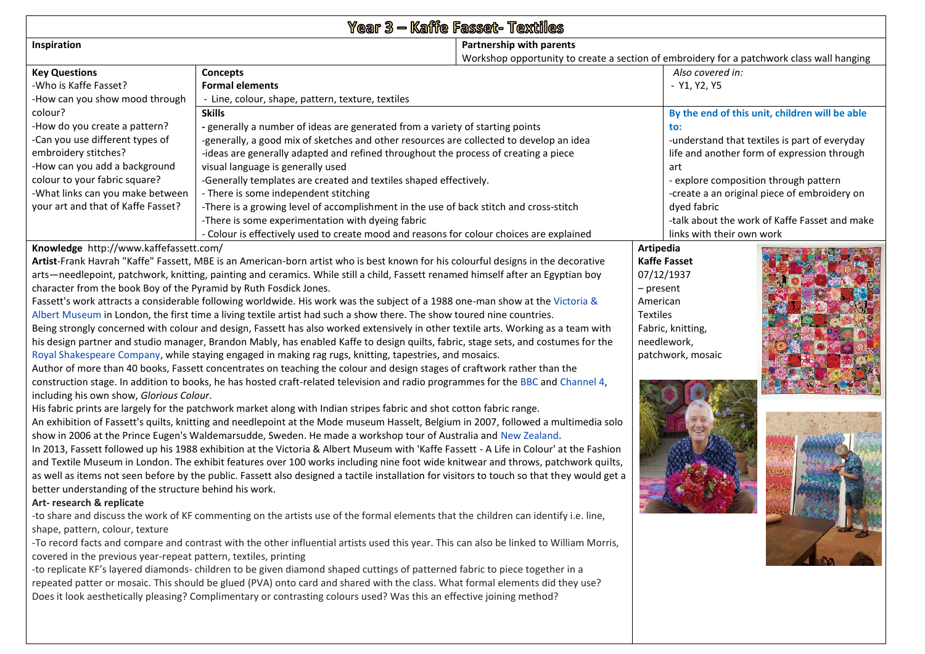| Year 3 - Kaffe Fasset- Textiles                                                                                                                                                                                                                              |                                                                                                                                         |                                                                                           |           |                           |                                               |  |  |  |
|--------------------------------------------------------------------------------------------------------------------------------------------------------------------------------------------------------------------------------------------------------------|-----------------------------------------------------------------------------------------------------------------------------------------|-------------------------------------------------------------------------------------------|-----------|---------------------------|-----------------------------------------------|--|--|--|
| Inspiration                                                                                                                                                                                                                                                  |                                                                                                                                         | Partnership with parents                                                                  |           |                           |                                               |  |  |  |
|                                                                                                                                                                                                                                                              |                                                                                                                                         | Workshop opportunity to create a section of embroidery for a patchwork class wall hanging |           |                           |                                               |  |  |  |
| <b>Key Questions</b>                                                                                                                                                                                                                                         | <b>Concepts</b>                                                                                                                         |                                                                                           |           | Also covered in:          |                                               |  |  |  |
| -Who is Kaffe Fasset?                                                                                                                                                                                                                                        | <b>Formal elements</b>                                                                                                                  |                                                                                           |           | - Y1, Y2, Y5              |                                               |  |  |  |
| -How can you show mood through                                                                                                                                                                                                                               | - Line, colour, shape, pattern, texture, textiles                                                                                       |                                                                                           |           |                           |                                               |  |  |  |
| colour?                                                                                                                                                                                                                                                      | <b>Skills</b>                                                                                                                           | By the end of this unit, children will be able                                            |           |                           |                                               |  |  |  |
| -How do you create a pattern?                                                                                                                                                                                                                                | - generally a number of ideas are generated from a variety of starting points                                                           | to:                                                                                       |           |                           |                                               |  |  |  |
| -Can you use different types of                                                                                                                                                                                                                              | -generally, a good mix of sketches and other resources are collected to develop an idea                                                 | -understand that textiles is part of everyday                                             |           |                           |                                               |  |  |  |
| embroidery stitches?                                                                                                                                                                                                                                         | -ideas are generally adapted and refined throughout the process of creating a piece                                                     | life and another form of expression through                                               |           |                           |                                               |  |  |  |
| -How can you add a background                                                                                                                                                                                                                                | visual language is generally used                                                                                                       | art                                                                                       |           |                           |                                               |  |  |  |
| colour to your fabric square?                                                                                                                                                                                                                                | -Generally templates are created and textiles shaped effectively.                                                                       | - explore composition through pattern                                                     |           |                           |                                               |  |  |  |
| -What links can you make between                                                                                                                                                                                                                             | - There is some independent stitching                                                                                                   | -create a an original piece of embroidery on                                              |           |                           |                                               |  |  |  |
| your art and that of Kaffe Fasset?                                                                                                                                                                                                                           | -There is a growing level of accomplishment in the use of back stitch and cross-stitch                                                  |                                                                                           |           | dyed fabric               |                                               |  |  |  |
|                                                                                                                                                                                                                                                              | -There is some experimentation with dyeing fabric                                                                                       |                                                                                           |           |                           | -talk about the work of Kaffe Fasset and make |  |  |  |
|                                                                                                                                                                                                                                                              | - Colour is effectively used to create mood and reasons for colour choices are explained                                                |                                                                                           |           | links with their own work |                                               |  |  |  |
| Knowledge http://www.kaffefassett.com/                                                                                                                                                                                                                       |                                                                                                                                         |                                                                                           | Artipedia |                           |                                               |  |  |  |
| Artist-Frank Havrah "Kaffe" Fassett, MBE is an American-born artist who is best known for his colourful designs in the decorative                                                                                                                            |                                                                                                                                         | <b>Kaffe Fasset</b>                                                                       |           |                           |                                               |  |  |  |
| arts—needlepoint, patchwork, knitting, painting and ceramics. While still a child, Fassett renamed himself after an Egyptian boy                                                                                                                             |                                                                                                                                         | 07/12/1937                                                                                |           |                           |                                               |  |  |  |
| character from the book Boy of the Pyramid by Ruth Fosdick Jones.                                                                                                                                                                                            | $-$ present                                                                                                                             |                                                                                           |           |                           |                                               |  |  |  |
| Fassett's work attracts a considerable following worldwide. His work was the subject of a 1988 one-man show at the Victoria &                                                                                                                                | American                                                                                                                                |                                                                                           |           |                           |                                               |  |  |  |
| Albert Museum in London, the first time a living textile artist had such a show there. The show toured nine countries.                                                                                                                                       | <b>Textiles</b>                                                                                                                         | Fabric, knitting,                                                                         |           |                           |                                               |  |  |  |
| Being strongly concerned with colour and design, Fassett has also worked extensively in other textile arts. Working as a team with                                                                                                                           |                                                                                                                                         |                                                                                           |           |                           |                                               |  |  |  |
| his design partner and studio manager, Brandon Mably, has enabled Kaffe to design quilts, fabric, stage sets, and costumes for the<br>needlework,<br>Royal Shakespeare Company, while staying engaged in making rag rugs, knitting, tapestries, and mosaics. |                                                                                                                                         |                                                                                           |           |                           |                                               |  |  |  |
|                                                                                                                                                                                                                                                              | patchwork, mosaic                                                                                                                       |                                                                                           |           |                           |                                               |  |  |  |
| Author of more than 40 books, Fassett concentrates on teaching the colour and design stages of craftwork rather than the<br>construction stage. In addition to books, he has hosted craft-related television and radio programmes for the BBC and Channel 4, |                                                                                                                                         |                                                                                           |           |                           |                                               |  |  |  |
| including his own show, Glorious Colour.                                                                                                                                                                                                                     |                                                                                                                                         |                                                                                           |           |                           |                                               |  |  |  |
|                                                                                                                                                                                                                                                              | His fabric prints are largely for the patchwork market along with Indian stripes fabric and shot cotton fabric range.                   |                                                                                           |           |                           |                                               |  |  |  |
|                                                                                                                                                                                                                                                              | An exhibition of Fassett's quilts, knitting and needlepoint at the Mode museum Hasselt, Belgium in 2007, followed a multimedia solo     |                                                                                           |           |                           |                                               |  |  |  |
|                                                                                                                                                                                                                                                              | show in 2006 at the Prince Eugen's Waldemarsudde, Sweden. He made a workshop tour of Australia and New Zealand.                         |                                                                                           |           |                           |                                               |  |  |  |
|                                                                                                                                                                                                                                                              | In 2013, Fassett followed up his 1988 exhibition at the Victoria & Albert Museum with 'Kaffe Fassett - A Life in Colour' at the Fashion |                                                                                           |           |                           |                                               |  |  |  |
|                                                                                                                                                                                                                                                              | and Textile Museum in London. The exhibit features over 100 works including nine foot wide knitwear and throws, patchwork quilts,       |                                                                                           |           |                           |                                               |  |  |  |
| as well as items not seen before by the public. Fassett also designed a tactile installation for visitors to touch so that they would get a                                                                                                                  |                                                                                                                                         |                                                                                           |           |                           |                                               |  |  |  |
| better understanding of the structure behind his work.                                                                                                                                                                                                       |                                                                                                                                         |                                                                                           |           |                           |                                               |  |  |  |
| Art-research & replicate                                                                                                                                                                                                                                     |                                                                                                                                         |                                                                                           |           |                           |                                               |  |  |  |
| -to share and discuss the work of KF commenting on the artists use of the formal elements that the children can identify i.e. line,                                                                                                                          |                                                                                                                                         |                                                                                           |           |                           |                                               |  |  |  |
| shape, pattern, colour, texture                                                                                                                                                                                                                              |                                                                                                                                         |                                                                                           |           |                           |                                               |  |  |  |
| -To record facts and compare and contrast with the other influential artists used this year. This can also be linked to William Morris,                                                                                                                      |                                                                                                                                         |                                                                                           |           |                           |                                               |  |  |  |
| covered in the previous year-repeat pattern, textiles, printing                                                                                                                                                                                              |                                                                                                                                         |                                                                                           |           |                           |                                               |  |  |  |
| -to replicate KF's layered diamonds- children to be given diamond shaped cuttings of patterned fabric to piece together in a                                                                                                                                 |                                                                                                                                         |                                                                                           |           |                           |                                               |  |  |  |
| repeated patter or mosaic. This should be glued (PVA) onto card and shared with the class. What formal elements did they use?                                                                                                                                |                                                                                                                                         |                                                                                           |           |                           |                                               |  |  |  |
| Does it look aesthetically pleasing? Complimentary or contrasting colours used? Was this an effective joining method?                                                                                                                                        |                                                                                                                                         |                                                                                           |           |                           |                                               |  |  |  |